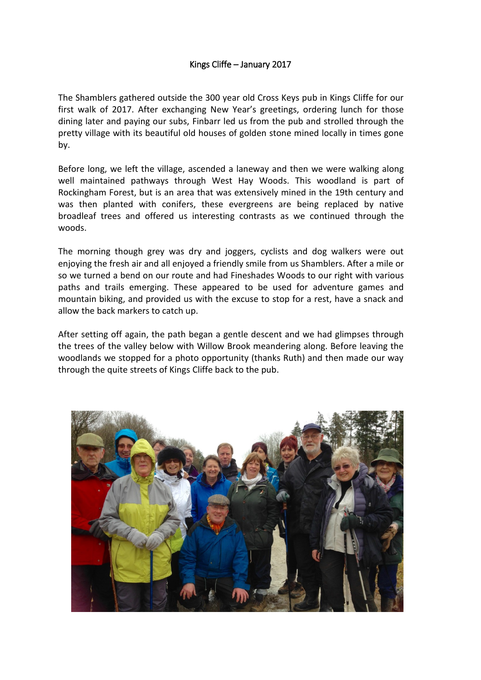## Kings Cliffe – January 2017

The Shamblers gathered outside the 300 year old Cross Keys pub in Kings Cliffe for our first walk of 2017. After exchanging New Year's greetings, ordering lunch for those dining later and paying our subs, Finbarr led us from the pub and strolled through the pretty village with its beautiful old houses of golden stone mined locally in times gone by.

Before long, we left the village, ascended a laneway and then we were walking along well maintained pathways through West Hay Woods. This woodland is part of Rockingham Forest, but is an area that was extensively mined in the 19th century and was then planted with conifers, these evergreens are being replaced by native broadleaf trees and offered us interesting contrasts as we continued through the woods.

The morning though grey was dry and joggers, cyclists and dog walkers were out enjoying the fresh air and all enjoyed a friendly smile from us Shamblers. After a mile or so we turned a bend on our route and had Fineshades Woods to our right with various paths and trails emerging. These appeared to be used for adventure games and mountain biking, and provided us with the excuse to stop for a rest, have a snack and allow the back markers to catch up.

After setting off again, the path began a gentle descent and we had glimpses through the trees of the valley below with Willow Brook meandering along. Before leaving the woodlands we stopped for a photo opportunity (thanks Ruth) and then made our way through the quite streets of Kings Cliffe back to the pub.